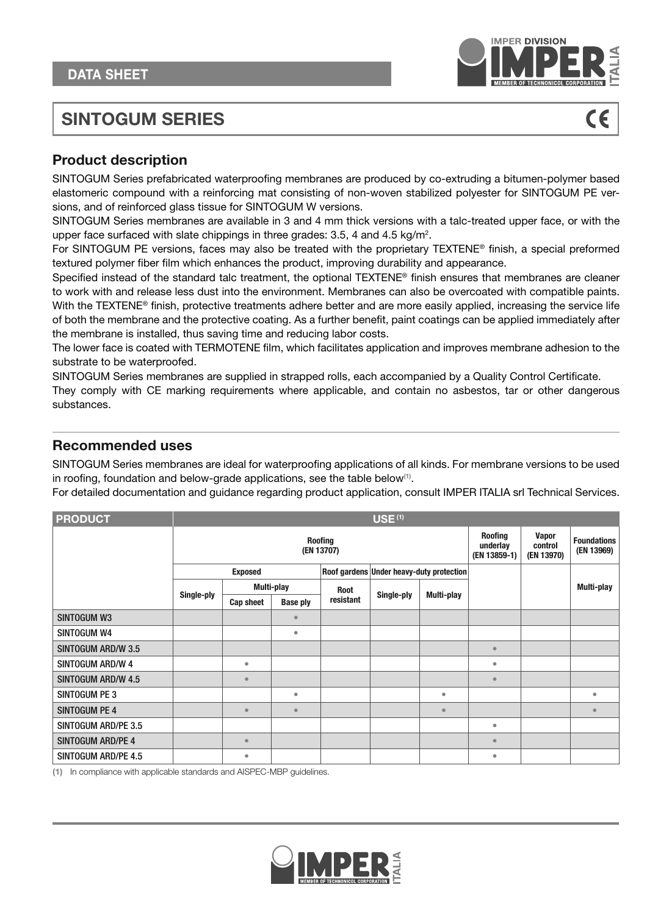

# **SINTOGUM SERIES**



## **Product description**

SINTOGUM Series prefabricated waterproofing membranes are produced by co-extruding a bitumen-polymer based elastomeric compound with a reinforcing mat consisting of non-woven stabilized polyester for SINTOGUM PE versions, and of reinforced glass tissue for SINTOGUM W versions.

SINTOGUM Series membranes are available in 3 and 4 mm thick versions with a talc-treated upper face, or with the upper face surfaced with slate chippings in three grades: 3.5, 4 and 4.5 kg/m<sup>2</sup>.

For SINTOGUM PE versions, faces may also be treated with the proprietary TEXTENE® finish, a special preformed textured polymer fiber film which enhances the product, improving durability and appearance.

Specified instead of the standard talc treatment, the optional TEXTENE® finish ensures that membranes are cleaner to work with and release less dust into the environment. Membranes can also be overcoated with compatible paints. With the TEXTENE® finish, protective treatments adhere better and are more easily applied, increasing the service life of both the membrane and the protective coating. As a further benefit, paint coatings can be applied immediately after the membrane is installed, thus saving time and reducing labor costs.

The lower face is coated with TERMOTENE film, which facilitates application and improves membrane adhesion to the substrate to be waterproofed.

SINTOGUM Series membranes are supplied in strapped rolls, each accompanied by a Quality Control Certificate.

They comply with CE marking requirements where applicable, and contain no asbestos, tar or other dangerous substances.

### **Recommended uses**

SINTOGUM Series membranes are ideal for waterproofing applications of all kinds. For membrane versions to be used in roofing, foundation and below-grade applications, see the table below**(1)** .

For detailed documentation and guidance regarding product application, consult IMPER ITALIA srl Technical Services.

| <b>PRODUCT</b>            | <b>USE (1)</b>               |                |                 |             |                                          |            |                                            |                                       |                                  |  |
|---------------------------|------------------------------|----------------|-----------------|-------------|------------------------------------------|------------|--------------------------------------------|---------------------------------------|----------------------------------|--|
|                           | <b>Roofing</b><br>(EN 13707) |                |                 |             |                                          |            | <b>Roofing</b><br>underlay<br>(EN 13859-1) | <b>Vapor</b><br>control<br>(EN 13970) | <b>Foundations</b><br>(EN 13969) |  |
|                           |                              | <b>Exposed</b> |                 |             | Roof gardens Under heavy-duty protection |            |                                            |                                       |                                  |  |
|                           | Single-ply                   | Multi-play     |                 | <b>Root</b> |                                          | Multi-play |                                            |                                       | Multi-play                       |  |
|                           |                              | Cap sheet      | <b>Base ply</b> | resistant   | Single-ply                               |            |                                            |                                       |                                  |  |
| <b>SINTOGUM W3</b>        |                              |                | ٠               |             |                                          |            |                                            |                                       |                                  |  |
| SINTOGUM W4               |                              |                | $\bullet$       |             |                                          |            |                                            |                                       |                                  |  |
| <b>SINTOGUM ARD/W 3.5</b> |                              |                |                 |             |                                          |            | $\bullet$                                  |                                       |                                  |  |
| SINTOGUM ARD/W 4          |                              | $\bullet$      |                 |             |                                          |            | $\bullet$                                  |                                       |                                  |  |
| SINTOGUM ARD/W 4.5        |                              | $\bullet$      |                 |             |                                          |            | $\bullet$                                  |                                       |                                  |  |
| SINTOGUM PE 3             |                              |                | ۰               |             |                                          | $\bullet$  |                                            |                                       | $\bullet$                        |  |
| <b>SINTOGUM PE 4</b>      |                              | $\epsilon$     | $\bullet$       |             |                                          | $\bullet$  |                                            |                                       | $\bullet$                        |  |
| SINTOGUM ARD/PE 3.5       |                              |                |                 |             |                                          |            | ۰                                          |                                       |                                  |  |
| <b>SINTOGUM ARD/PE 4</b>  |                              | $\bullet$      |                 |             |                                          |            | $\bullet$                                  |                                       |                                  |  |
| SINTOGUM ARD/PE 4.5       |                              | $\bullet$      |                 |             |                                          |            | ۰                                          |                                       |                                  |  |

**(1)** In compliance with applicable standards and AISPEC-MBP guidelines.